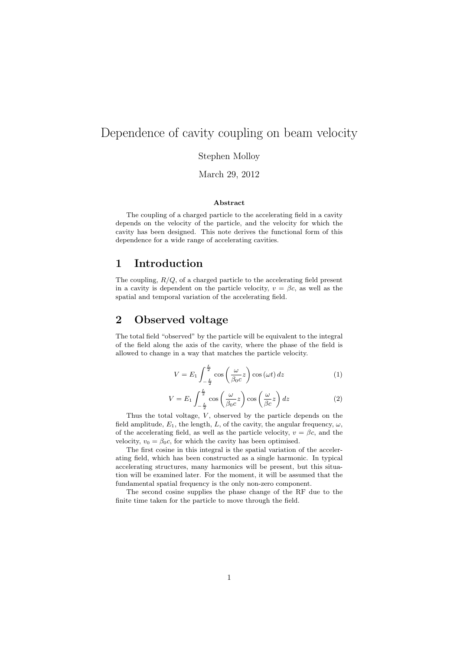# Dependence of cavity coupling on beam velocity

Stephen Molloy

March 29, 2012

#### Abstract

The coupling of a charged particle to the accelerating field in a cavity depends on the velocity of the particle, and the velocity for which the cavity has been designed. This note derives the functional form of this dependence for a wide range of accelerating cavities.

### 1 Introduction

The coupling,  $R/Q$ , of a charged particle to the accelerating field present in a cavity is dependent on the particle velocity,  $v = \beta c$ , as well as the spatial and temporal variation of the accelerating field.

### 2 Observed voltage

The total field "observed" by the particle will be equivalent to the integral of the field along the axis of the cavity, where the phase of the field is allowed to change in a way that matches the particle velocity.

$$
V = E_1 \int_{-\frac{L}{2}}^{\frac{L}{2}} \cos\left(\frac{\omega}{\beta_0 c}z\right) \cos\left(\omega t\right) dz \tag{1}
$$

$$
V = E_1 \int_{-\frac{L}{2}}^{\frac{L}{2}} \cos\left(\frac{\omega}{\beta_0 c}z\right) \cos\left(\frac{\omega}{\beta c}z\right) dz
$$
 (2)

Thus the total voltage,  $V$ , observed by the particle depends on the field amplitude,  $E_1$ , the length, L, of the cavity, the angular frequency,  $\omega$ , of the accelerating field, as well as the particle velocity,  $v = \beta c$ , and the velocity,  $v_0 = \beta_0 c$ , for which the cavity has been optimised.

The first cosine in this integral is the spatial variation of the accelerating field, which has been constructed as a single harmonic. In typical accelerating structures, many harmonics will be present, but this situation will be examined later. For the moment, it will be assumed that the fundamental spatial frequency is the only non-zero component.

The second cosine supplies the phase change of the RF due to the finite time taken for the particle to move through the field.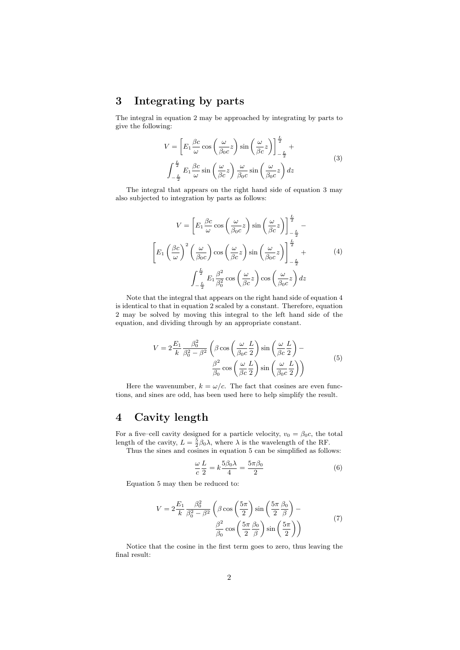# 3 Integrating by parts

The integral in equation 2 may be approached by integrating by parts to give the following:

$$
V = \left[ E_1 \frac{\beta c}{\omega} \cos \left( \frac{\omega}{\beta_0 c} z \right) \sin \left( \frac{\omega}{\beta c} z \right) \right]_{-\frac{L}{2}}^{\frac{L}{2}} +
$$
  

$$
\int_{-\frac{L}{2}}^{\frac{L}{2}} E_1 \frac{\beta c}{\omega} \sin \left( \frac{\omega}{\beta c} z \right) \frac{\omega}{\beta_0 c} \sin \left( \frac{\omega}{\beta_0 c} z \right) dz
$$
 (3)

The integral that appears on the right hand side of equation 3 may also subjected to integration by parts as follows:

$$
V = \left[ E_1 \frac{\beta c}{\omega} \cos \left( \frac{\omega}{\beta_0 c} z \right) \sin \left( \frac{\omega}{\beta c} z \right) \right]_{-\frac{L}{2}}^{\frac{L}{2}} -
$$

$$
\left[ E_1 \left( \frac{\beta c}{\omega} \right)^2 \left( \frac{\omega}{\beta_0 c} \right) \cos \left( \frac{\omega}{\beta c} z \right) \sin \left( \frac{\omega}{\beta_0 c} z \right) \right]_{-\frac{L}{2}}^{\frac{L}{2}} +
$$
(4)
$$
\int_{-\frac{L}{2}}^{\frac{L}{2}} E_1 \frac{\beta^2}{\beta_0^2} \cos \left( \frac{\omega}{\beta c} z \right) \cos \left( \frac{\omega}{\beta_0 c} z \right) dz
$$

Note that the integral that appears on the right hand side of equation 4 is identical to that in equation 2 scaled by a constant. Therefore, equation 2 may be solved by moving this integral to the left hand side of the equation, and dividing through by an appropriate constant.

$$
V = 2\frac{E_1}{k}\frac{\beta_0^2}{\beta_0^2 - \beta^2} \left(\beta \cos\left(\frac{\omega}{\beta_0 c}\frac{L}{2}\right) \sin\left(\frac{\omega}{\beta c}\frac{L}{2}\right) - \frac{\beta^2}{\beta_0 \cos\left(\frac{\omega}{\beta c}\frac{L}{2}\right) \sin\left(\frac{\omega}{\beta_0 c}\frac{L}{2}\right)}\right)
$$
(5)

Here the wavenumber,  $k = \omega/c$ . The fact that cosines are even functions, and sines are odd, has been used here to help simplify the result.

#### 4 Cavity length

For a five–cell cavity designed for a particle velocity,  $v_0 = \beta_0 c$ , the total length of the cavity,  $L = \frac{5}{2}\beta_0 \lambda$ , where  $\lambda$  is the wavelength of the RF.

Thus the sines and cosines in equation 5 can be simplified as follows:

$$
\frac{\omega}{c}\frac{L}{2} = k\frac{5\beta_0\lambda}{4} = \frac{5\pi\beta_0}{2}
$$
 (6)

Equation 5 may then be reduced to:

$$
V = 2\frac{E_1}{k} \frac{\beta_0^2}{\beta_0^2 - \beta^2} \left( \beta \cos\left(\frac{5\pi}{2}\right) \sin\left(\frac{5\pi}{2}\frac{\beta_0}{\beta}\right) - \frac{\beta^2}{\beta_0} \cos\left(\frac{5\pi}{2}\frac{\beta_0}{\beta}\right) \sin\left(\frac{5\pi}{2}\right) \right)
$$
(7)

Notice that the cosine in the first term goes to zero, thus leaving the final result: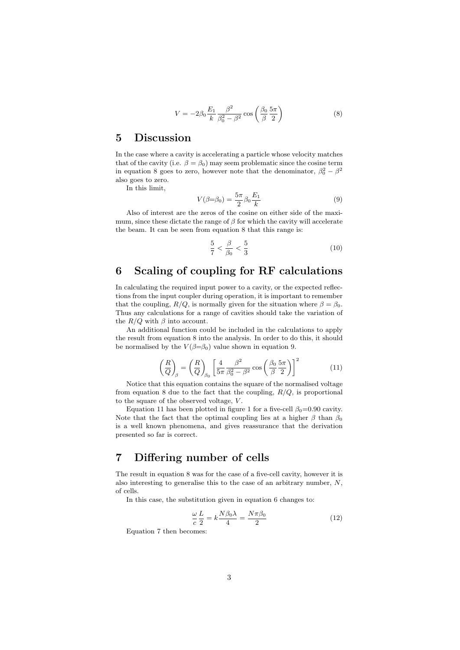$$
V = -2\beta_0 \frac{E_1}{k} \frac{\beta^2}{\beta_0^2 - \beta^2} \cos\left(\frac{\beta_0}{\beta} \frac{5\pi}{2}\right) \tag{8}
$$

#### 5 Discussion

In the case where a cavity is accelerating a particle whose velocity matches that of the cavity (i.e.  $\beta = \beta_0$ ) may seem problematic since the cosine term in equation 8 goes to zero, however note that the denominator,  $\beta_0^2 - \beta^2$ also goes to zero.

In this limit,

$$
V(\beta = \beta_0) = \frac{5\pi}{2} \beta_0 \frac{E_1}{k}
$$
 (9)

Also of interest are the zeros of the cosine on either side of the maximum, since these dictate the range of  $\beta$  for which the cavity will accelerate the beam. It can be seen from equation 8 that this range is:

$$
\frac{5}{7} < \frac{\beta}{\beta_0} < \frac{5}{3} \tag{10}
$$

# 6 Scaling of coupling for RF calculations

In calculating the required input power to a cavity, or the expected reflections from the input coupler during operation, it is important to remember that the coupling,  $R/Q$ , is normally given for the situation where  $\beta = \beta_0$ . Thus any calculations for a range of cavities should take the variation of the  $R/Q$  with  $\beta$  into account.

An additional function could be included in the calculations to apply the result from equation 8 into the analysis. In order to do this, it should be normalised by the  $V(\beta=\beta_0)$  value shown in equation 9.

$$
\left(\frac{R}{Q}\right)_{\beta} = \left(\frac{R}{Q}\right)_{\beta_0} \left[\frac{4}{5\pi} \frac{\beta^2}{\beta_0^2 - \beta^2} \cos\left(\frac{\beta_0}{\beta} \frac{5\pi}{2}\right)\right]^2 \tag{11}
$$

Notice that this equation contains the square of the normalised voltage from equation 8 due to the fact that the coupling,  $R/Q$ , is proportional to the square of the observed voltage, V .

Equation 11 has been plotted in figure 1 for a five-cell  $\beta_0=0.90$  cavity. Note that the fact that the optimal coupling lies at a higher  $\beta$  than  $\beta_0$ is a well known phenomena, and gives reassurance that the derivation presented so far is correct.

## 7 Differing number of cells

The result in equation 8 was for the case of a five-cell cavity, however it is also interesting to generalise this to the case of an arbitrary number, N, of cells.

In this case, the substitution given in equation 6 changes to:

$$
\frac{\omega}{c}\frac{L}{2} = k\frac{N\beta_0\lambda}{4} = \frac{N\pi\beta_0}{2}
$$
\n(12)

Equation 7 then becomes: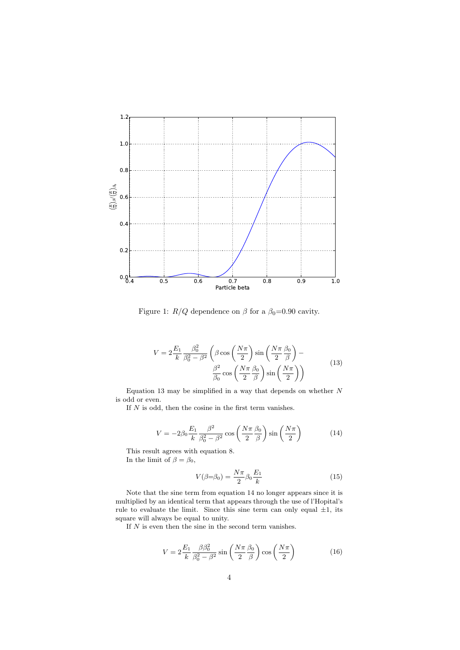

Figure 1:  $R/Q$  dependence on  $\beta$  for a  $\beta_0=0.90$  cavity.

$$
V = 2\frac{E_1}{k}\frac{\beta_0^2}{\beta_0^2 - \beta^2} \left(\beta \cos\left(\frac{N\pi}{2}\right) \sin\left(\frac{N\pi}{2}\frac{\beta_0}{\beta}\right) - \frac{\beta^2}{\beta_0} \cos\left(\frac{N\pi}{2}\frac{\beta_0}{\beta}\right) \sin\left(\frac{N\pi}{2}\right)\right)
$$
(13)

Equation 13 may be simplified in a way that depends on whether  $N$ is odd or even.

If  $\cal N$  is odd, then the cosine in the first term vanishes.

$$
V = -2\beta_0 \frac{E_1}{k} \frac{\beta^2}{\beta_0^2 - \beta^2} \cos\left(\frac{N\pi}{2} \frac{\beta_0}{\beta}\right) \sin\left(\frac{N\pi}{2}\right) \tag{14}
$$

This result agrees with equation 8. In the limit of  $\beta = \beta_0$ ,

$$
V(\beta = \beta_0) = \frac{N\pi}{2} \beta_0 \frac{E_1}{k}
$$
 (15)

Note that the sine term from equation 14 no longer appears since it is multiplied by an identical term that appears through the use of l'Hopital's rule to evaluate the limit. Since this sine term can only equal  $\pm 1$ , its square will always be equal to unity.

If  $N$  is even then the sine in the second term vanishes.

$$
V = 2\frac{E_1}{k}\frac{\beta\beta_0^2}{\beta_0^2 - \beta^2}\sin\left(\frac{N\pi}{2}\frac{\beta_0}{\beta}\right)\cos\left(\frac{N\pi}{2}\right) \tag{16}
$$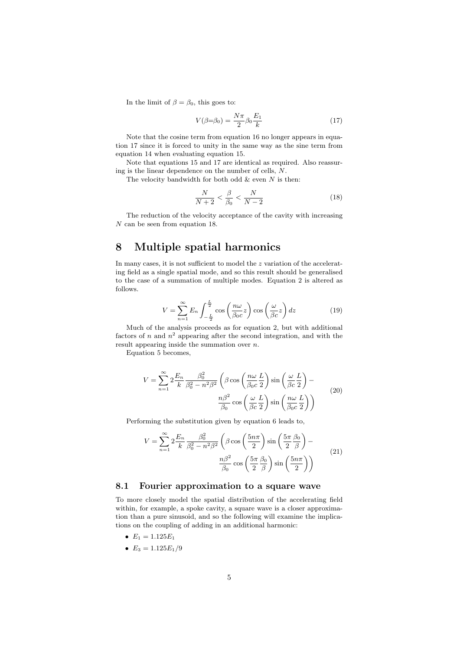In the limit of  $\beta = \beta_0$ , this goes to:

$$
V(\beta = \beta_0) = \frac{N\pi}{2} \beta_0 \frac{E_1}{k} \tag{17}
$$

Note that the cosine term from equation 16 no longer appears in equation 17 since it is forced to unity in the same way as the sine term from equation 14 when evaluating equation 15.

Note that equations 15 and 17 are identical as required. Also reassuring is the linear dependence on the number of cells, N.

The velocity bandwidth for both odd  $\&$  even  $N$  is then:

$$
\frac{N}{N+2} < \frac{\beta}{\beta_0} < \frac{N}{N-2} \tag{18}
$$

The reduction of the velocity acceptance of the cavity with increasing N can be seen from equation 18.

### 8 Multiple spatial harmonics

In many cases, it is not sufficient to model the z variation of the accelerating field as a single spatial mode, and so this result should be generalised to the case of a summation of multiple modes. Equation 2 is altered as follows.

$$
V = \sum_{n=1}^{\infty} E_n \int_{-\frac{L}{2}}^{\frac{L}{2}} \cos\left(\frac{n\omega}{\beta_0 c}z\right) \cos\left(\frac{\omega}{\beta c}z\right) dz \tag{19}
$$

Much of the analysis proceeds as for equation 2, but with additional factors of n and  $n^2$  appearing after the second integration, and with the result appearing inside the summation over  $n$ .

Equation 5 becomes,

$$
V = \sum_{n=1}^{\infty} 2 \frac{E_n}{k} \frac{\beta_0^2}{\beta_0^2 - n^2 \beta^2} \left( \beta \cos \left( \frac{n\omega}{\beta_0 c} \frac{L}{2} \right) \sin \left( \frac{\omega}{\beta c} \frac{L}{2} \right) - \frac{n\beta^2}{\beta_0} \cos \left( \frac{\omega}{\beta c} \frac{L}{2} \right) \sin \left( \frac{n\omega}{\beta_0 c} \frac{L}{2} \right) \right)
$$
(20)

Performing the substitution given by equation 6 leads to,

$$
V = \sum_{n=1}^{\infty} 2 \frac{E_n}{k} \frac{\beta_0^2}{\beta_0^2 - n^2 \beta^2} \left( \beta \cos \left( \frac{5n\pi}{2} \right) \sin \left( \frac{5\pi}{2} \frac{\beta_0}{\beta} \right) - \frac{n\beta^2}{\beta_0} \cos \left( \frac{5\pi}{2} \frac{\beta_0}{\beta} \right) \sin \left( \frac{5n\pi}{2} \right) \right)
$$
(21)

#### 8.1 Fourier approximation to a square wave

To more closely model the spatial distribution of the accelerating field within, for example, a spoke cavity, a square wave is a closer approximation than a pure sinusoid, and so the following will examine the implications on the coupling of adding in an additional harmonic:

- $E_1 = 1.125E_1$
- $E_3 = 1.125 E_1/9$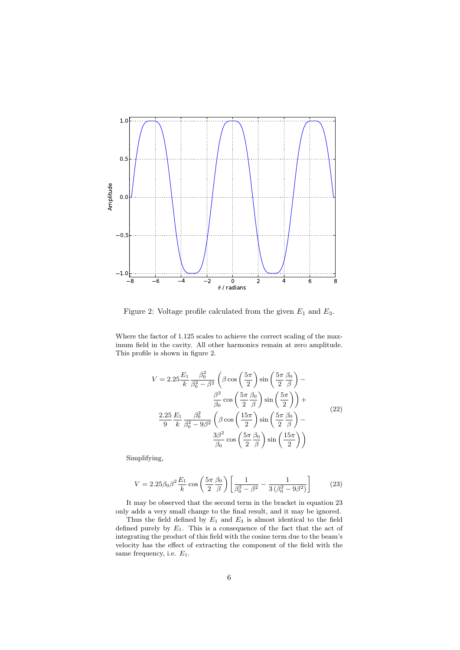

Figure 2: Voltage profile calculated from the given  $E_1$  and  $E_3$ .

Where the factor of 1.125 scales to achieve the correct scaling of the maximum field in the cavity. All other harmonics remain at zero amplitude. This profile is shown in figure 2.

$$
V = 2.25 \frac{E_1}{k} \frac{\beta_0^2}{\beta_0^2 - \beta^2} \left( \beta \cos \left( \frac{5\pi}{2} \right) \sin \left( \frac{5\pi}{2} \frac{\beta_0}{\beta} \right) - \frac{\beta^2}{\beta_0} \cos \left( \frac{5\pi}{2} \frac{\beta_0}{\beta} \right) \sin \left( \frac{5\pi}{2} \right) \right) +
$$
  

$$
\frac{2.25}{9} \frac{E_1}{k} \frac{\beta_0^2}{\beta_0^2 - 9\beta^2} \left( \beta \cos \left( \frac{15\pi}{2} \right) \sin \left( \frac{5\pi}{2} \frac{\beta_0}{\beta} \right) - \frac{3\beta^2}{\beta_0} \cos \left( \frac{5\pi}{2} \frac{\beta_0}{\beta} \right) \sin \left( \frac{15\pi}{2} \right) \right)
$$
(22)

Simplifying,

$$
V = 2.25 \beta_0 \beta^2 \frac{E_1}{k} \cos \left(\frac{5\pi}{2} \frac{\beta_0}{\beta}\right) \left[\frac{1}{\beta_0^2 - \beta^2} - \frac{1}{3\left(\beta_0^2 - 9\beta^2\right)}\right]
$$
(23)

It may be observed that the second term in the bracket in equation 23 only adds a very small change to the final result, and it may be ignored.

Thus the field defined by  $E_1$  and  $E_3$  is almost identical to the field defined purely by  $E_1$ . This is a consequence of the fact that the act of integrating the product of this field with the cosine term due to the beam's velocity has the effect of extracting the component of the field with the same frequency, i.e.  $E_1$ .